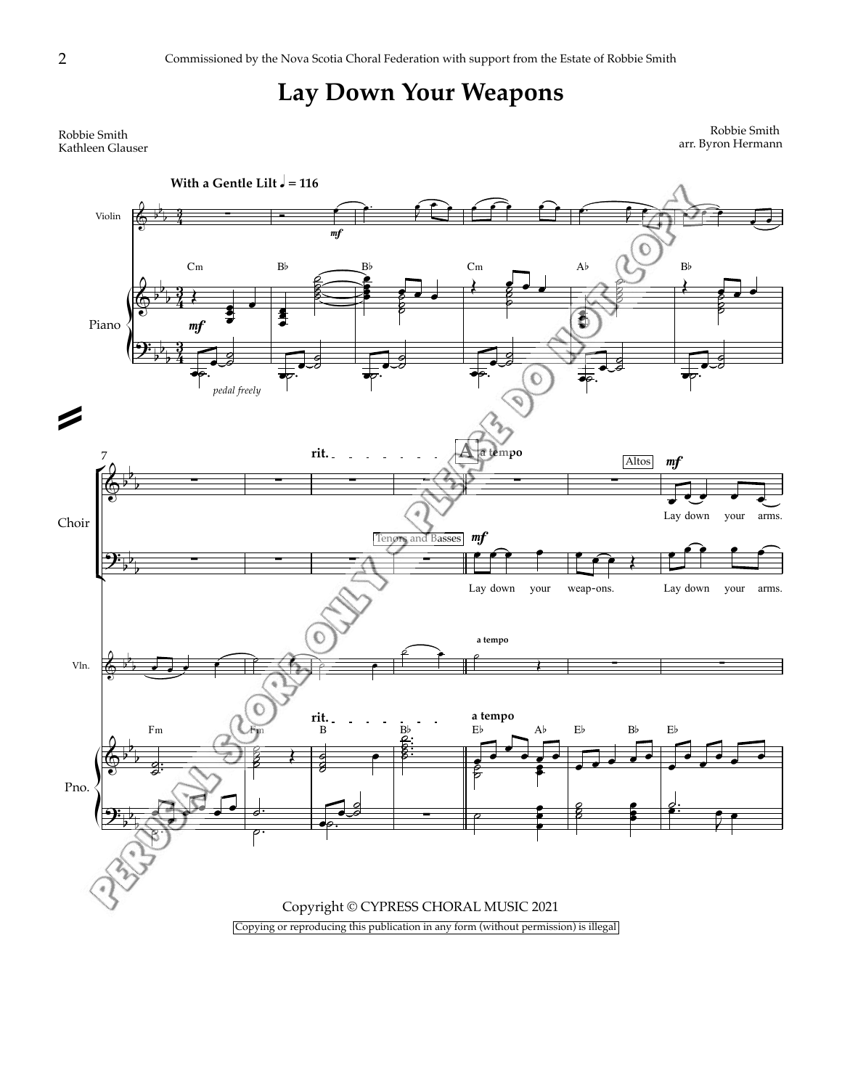## **Lay Down Your Weapons**

Kathleen Glauser

Robbie Smith arr. Byron Hermann Robbie Smith

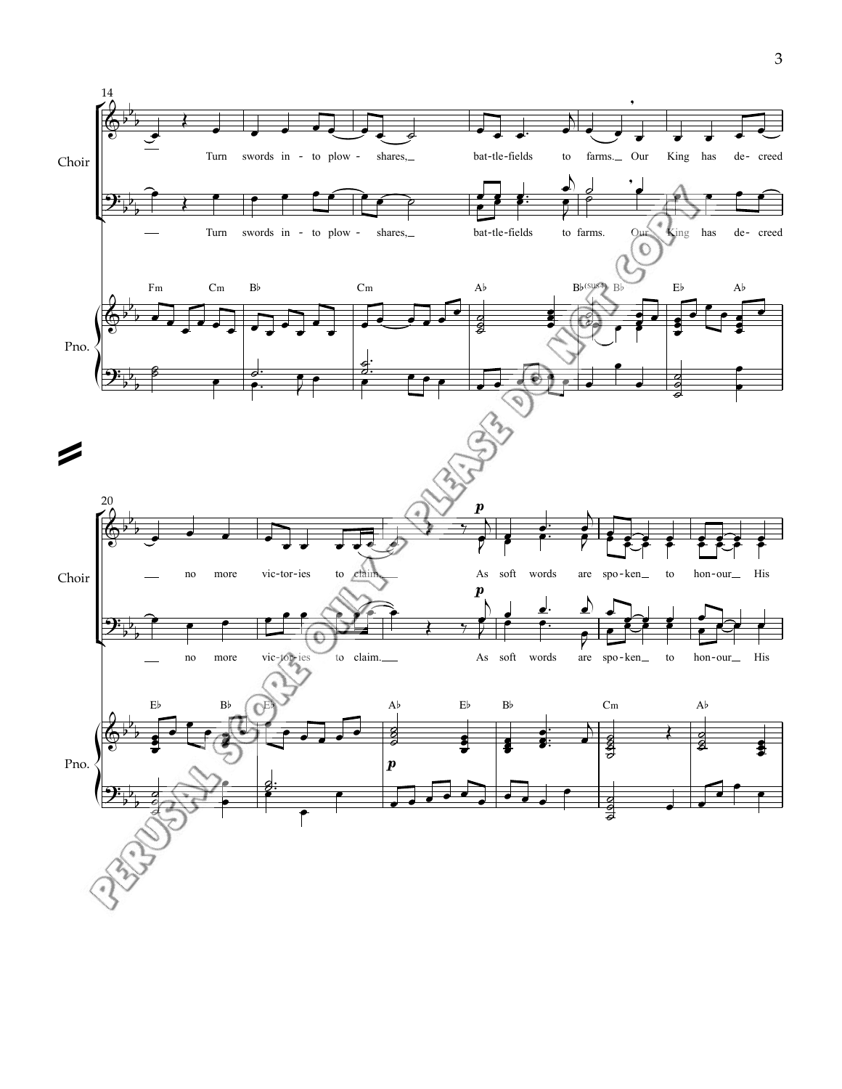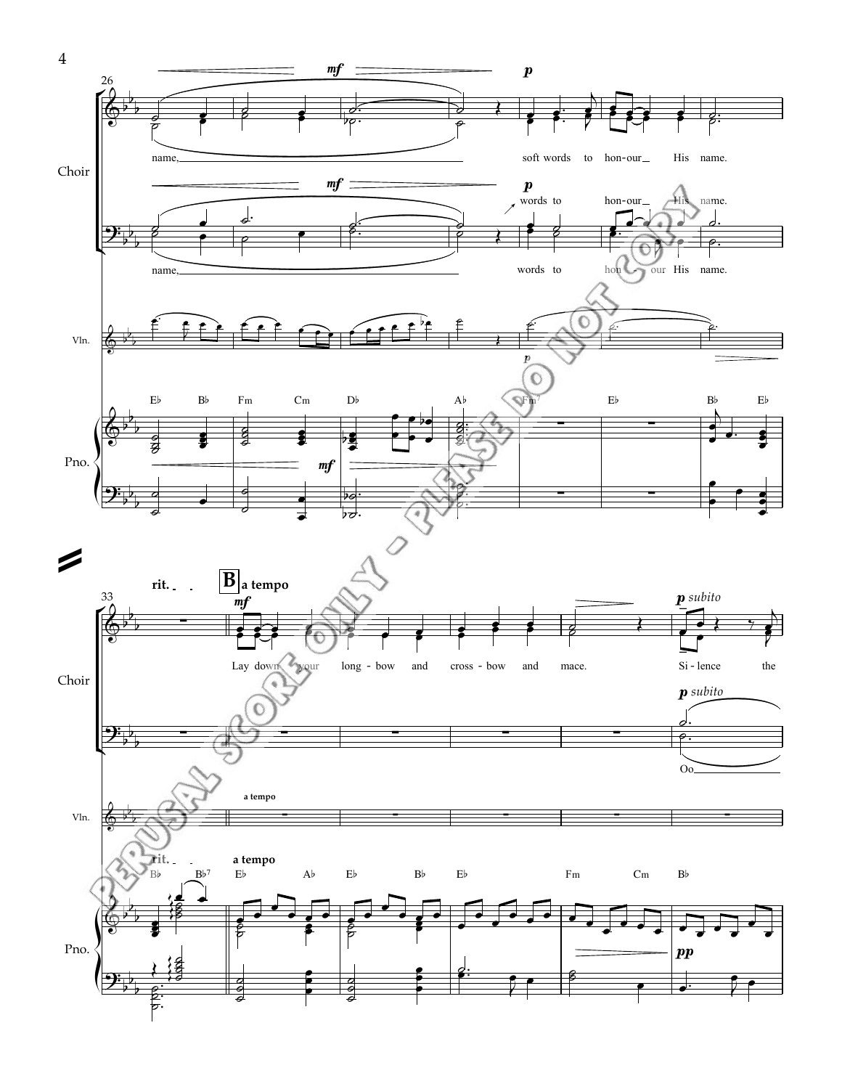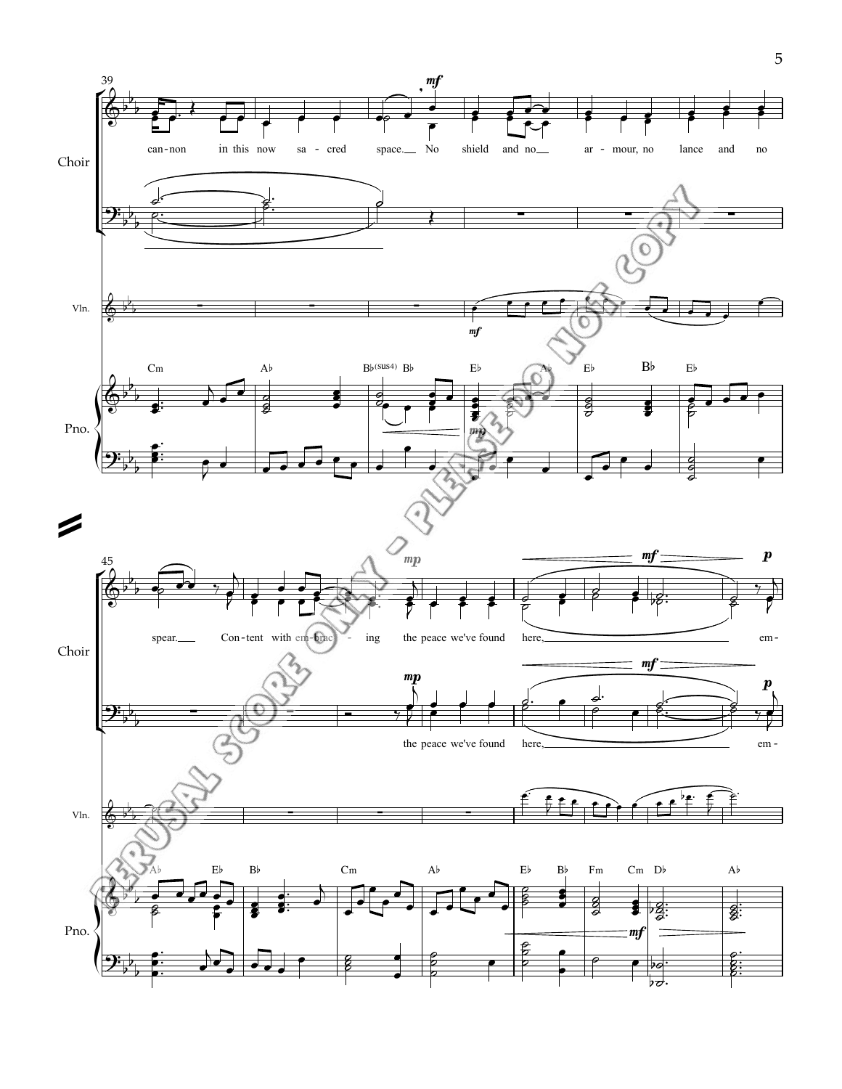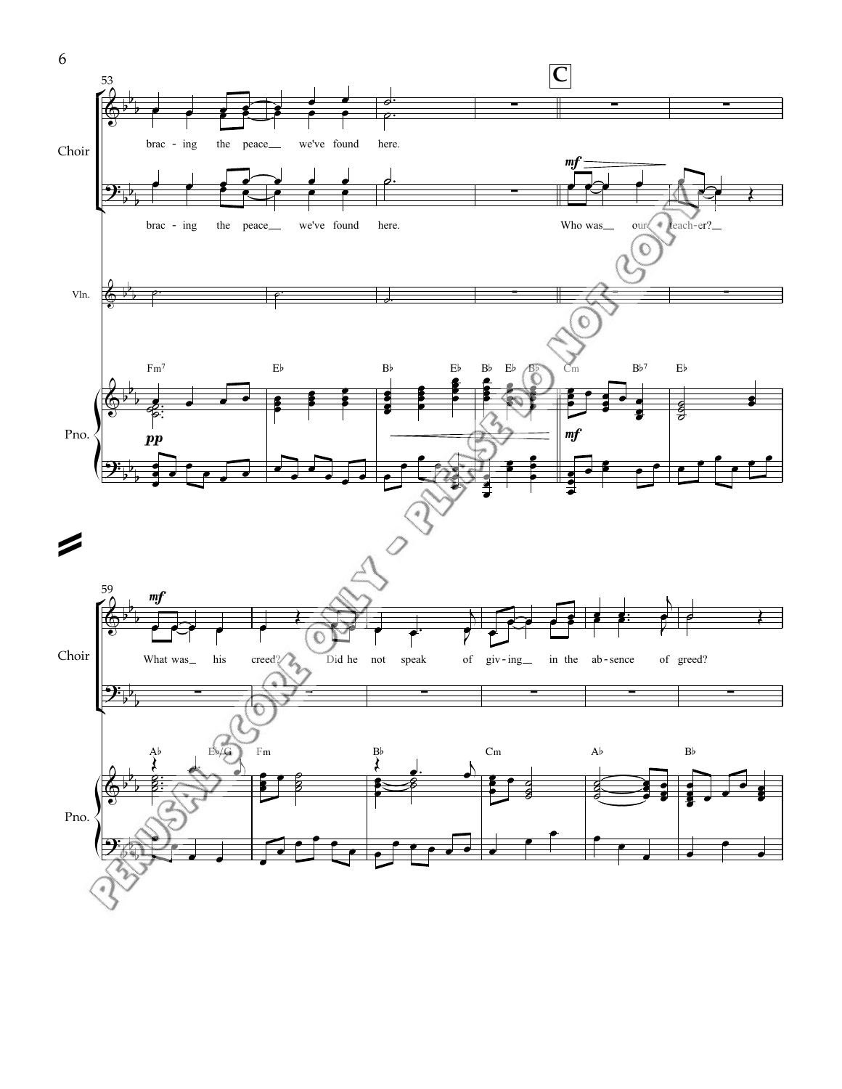

6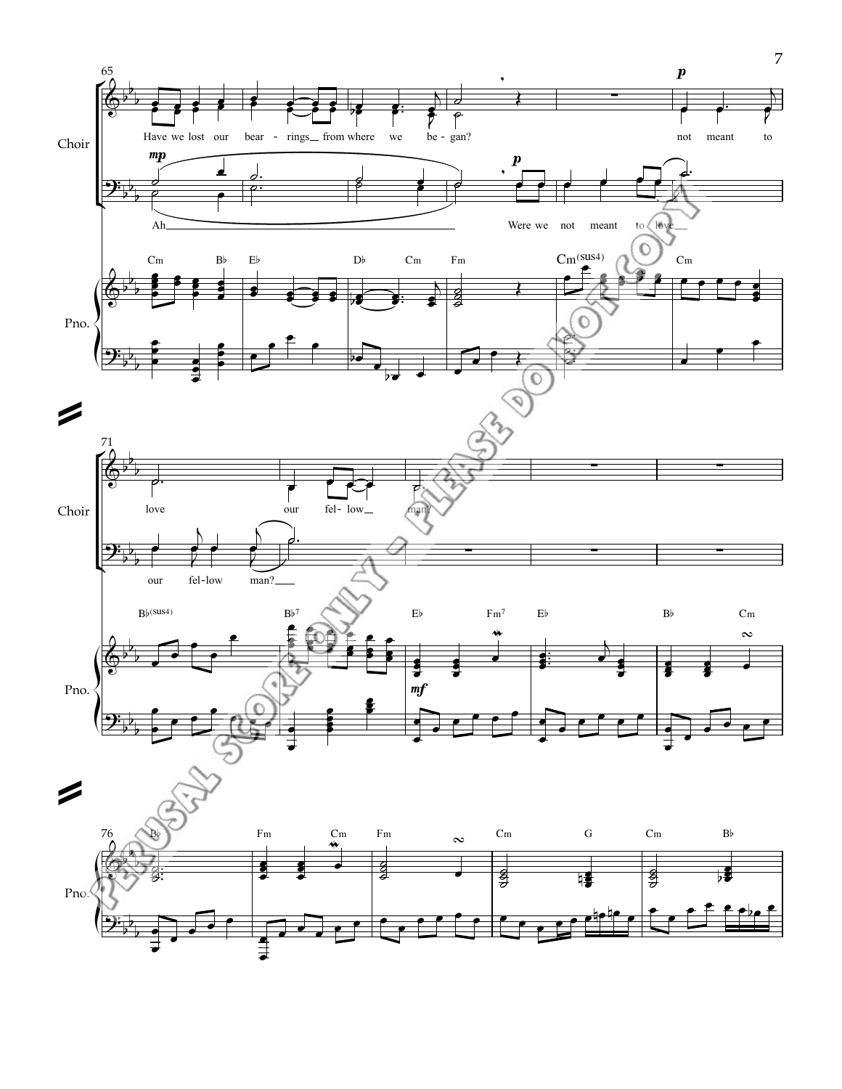

7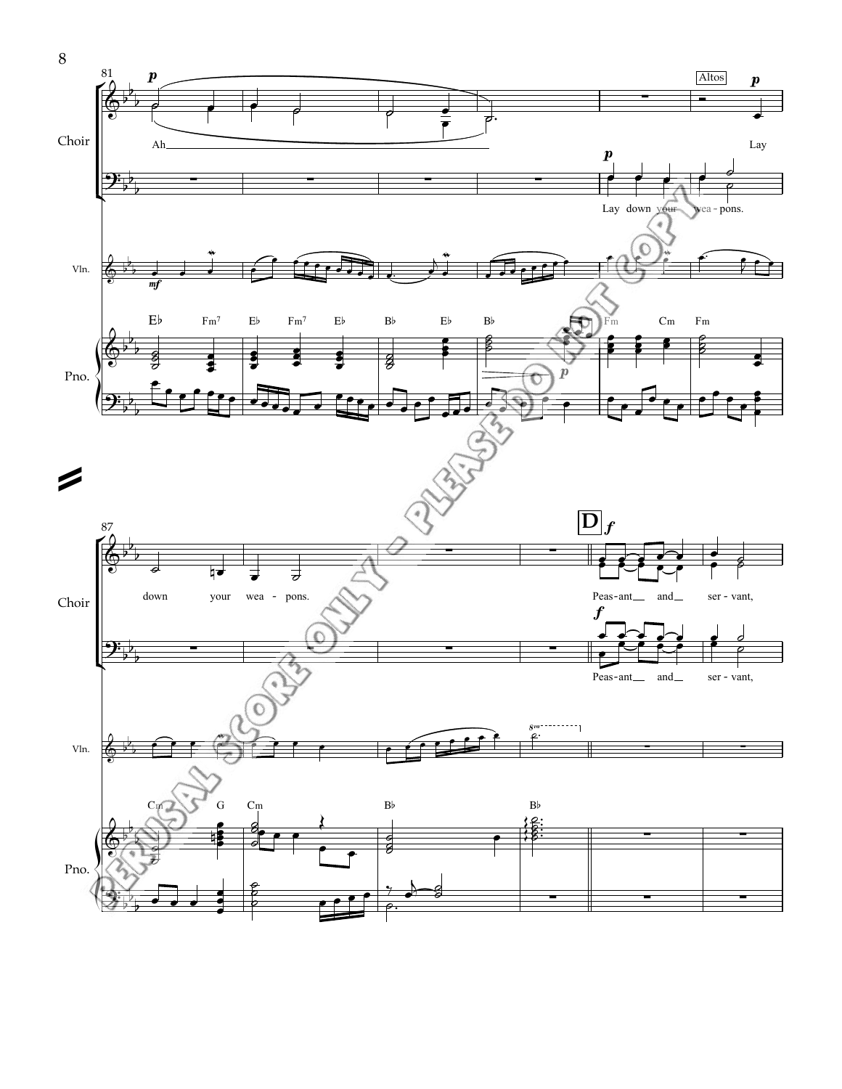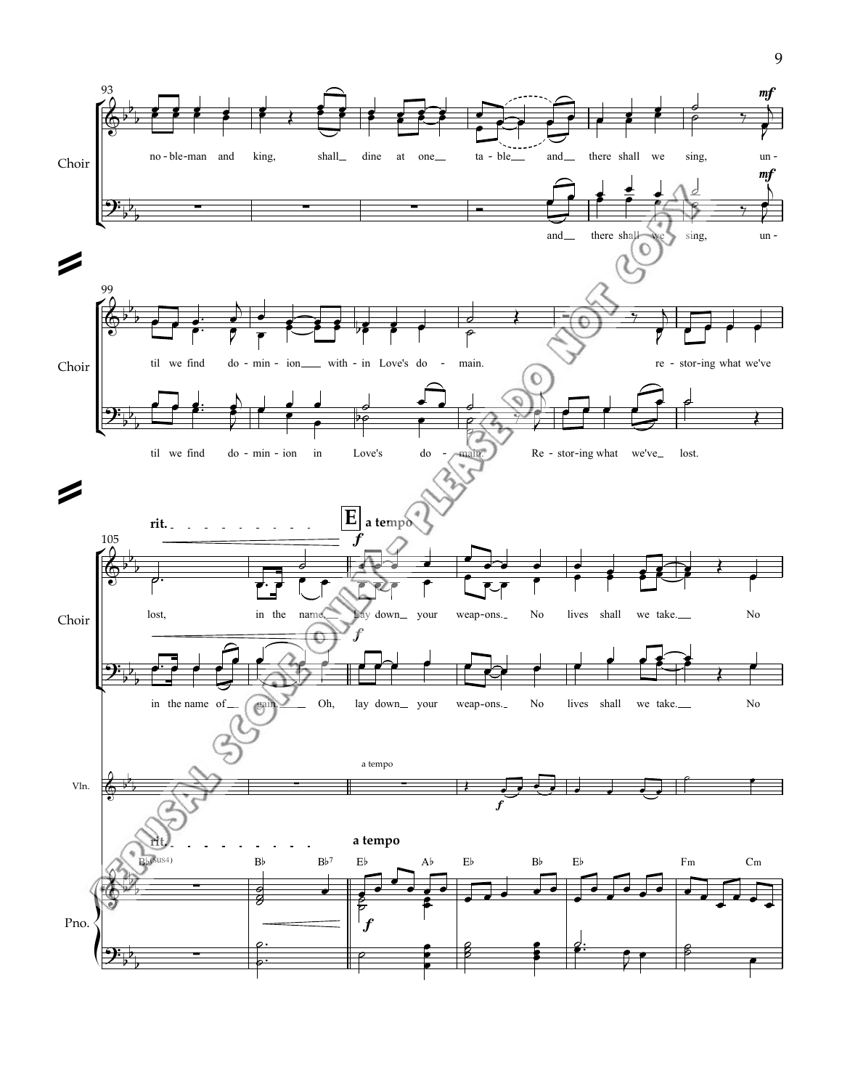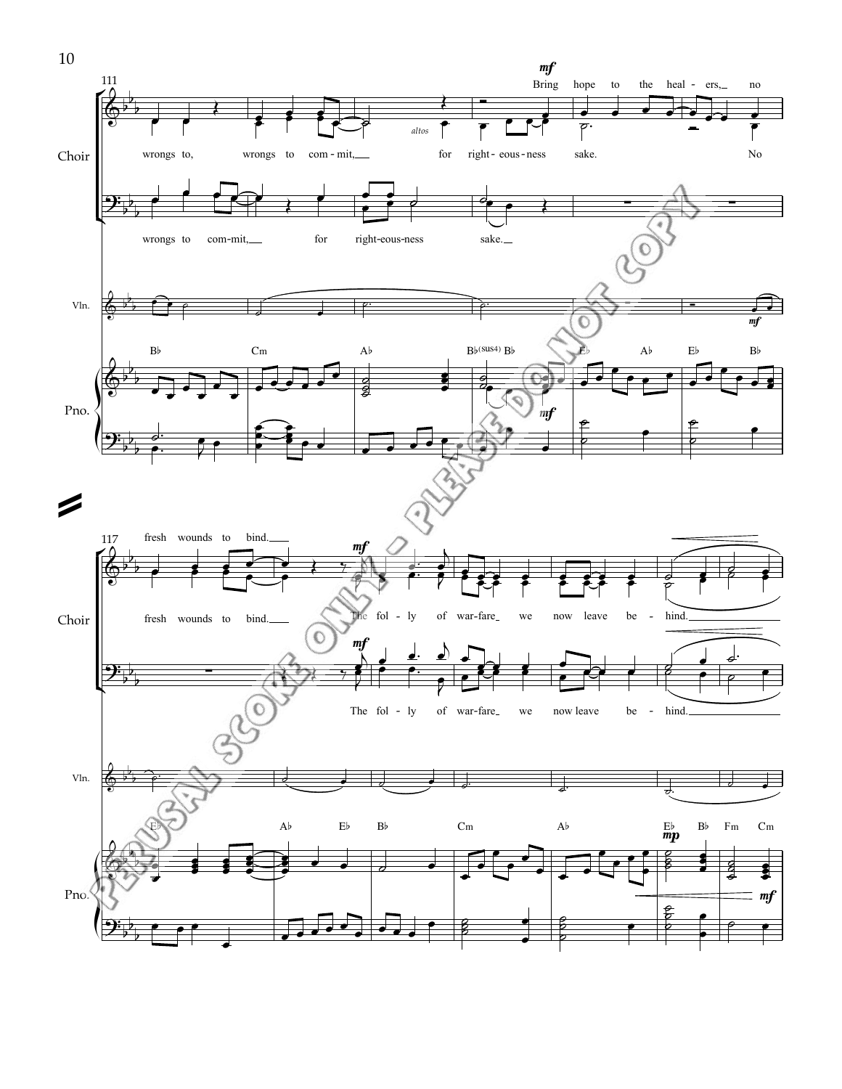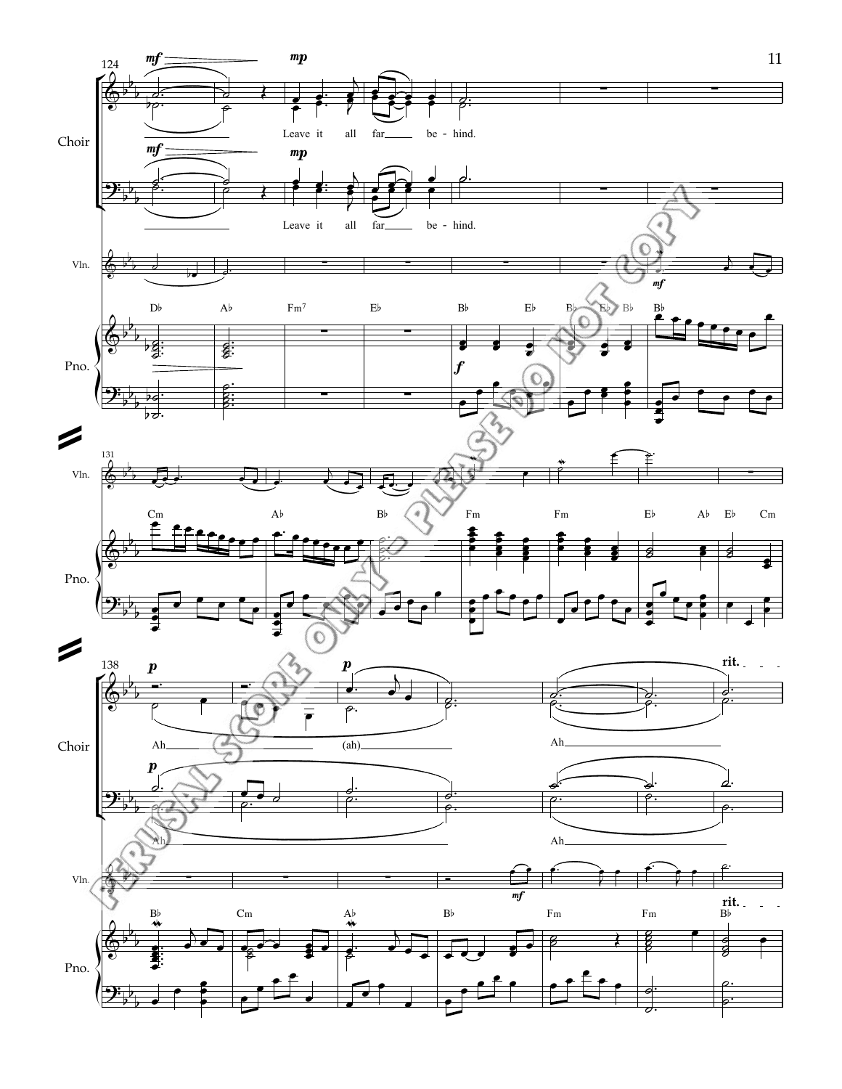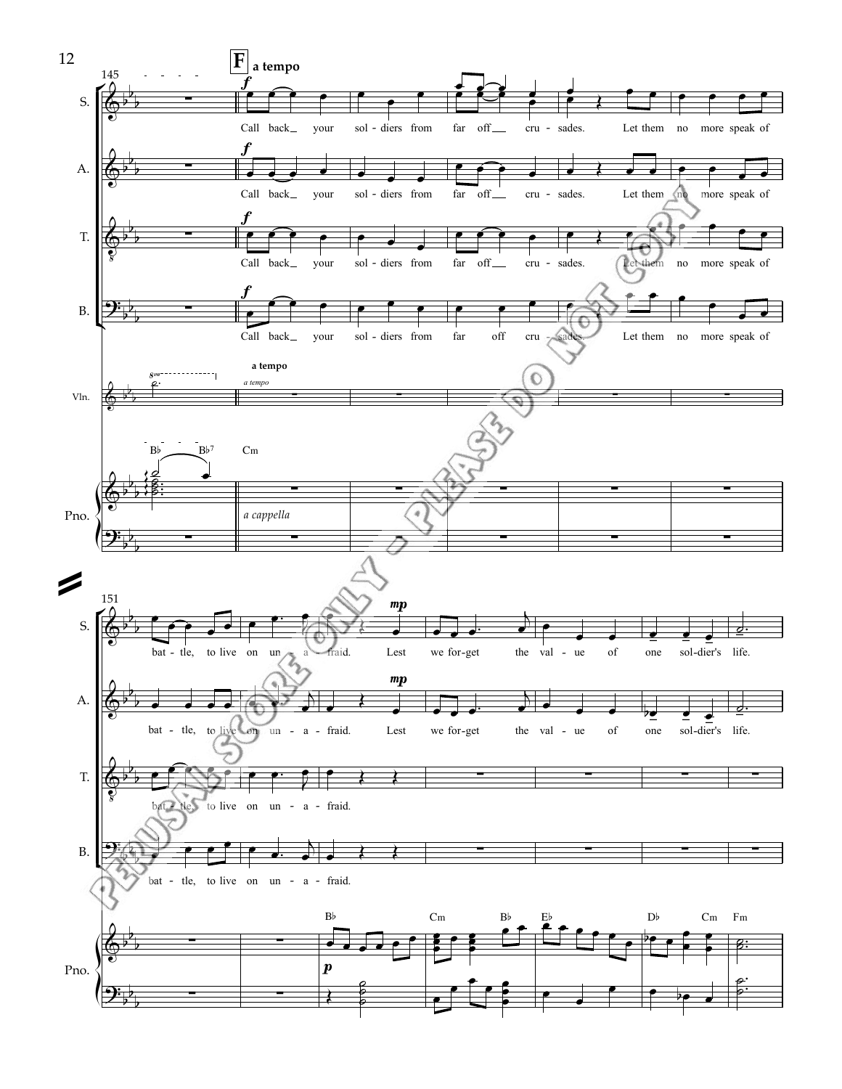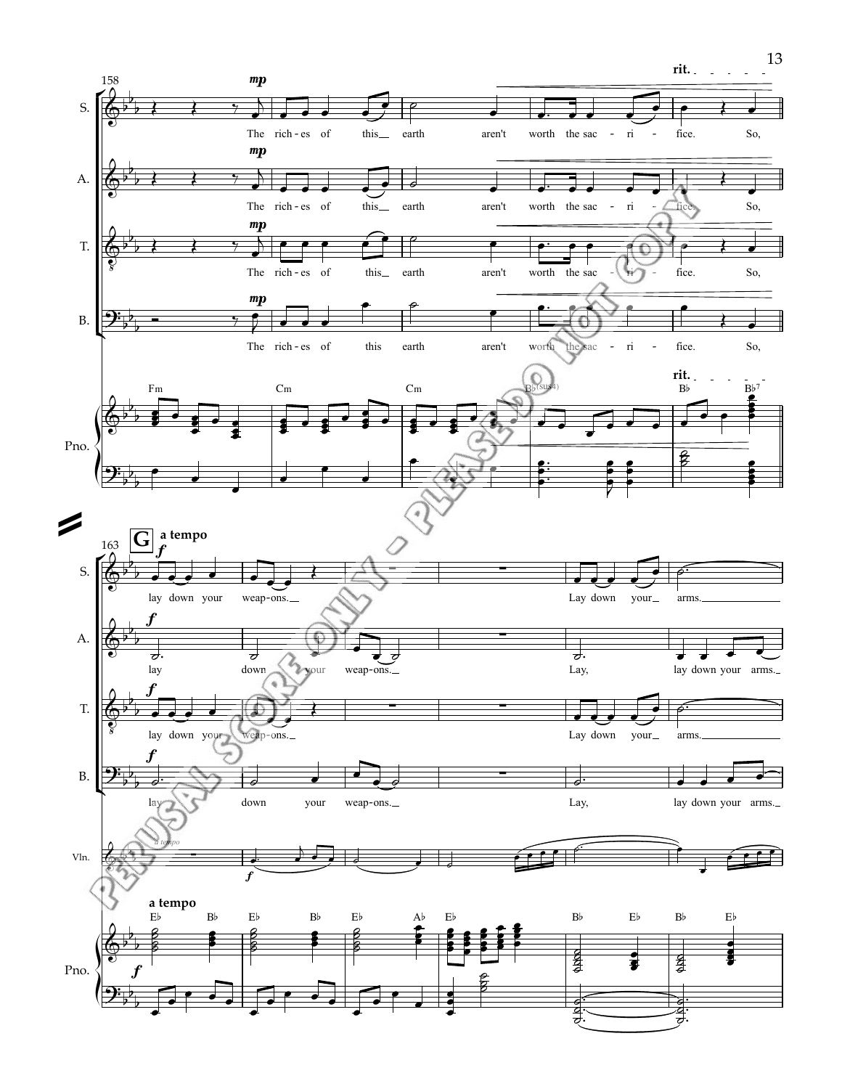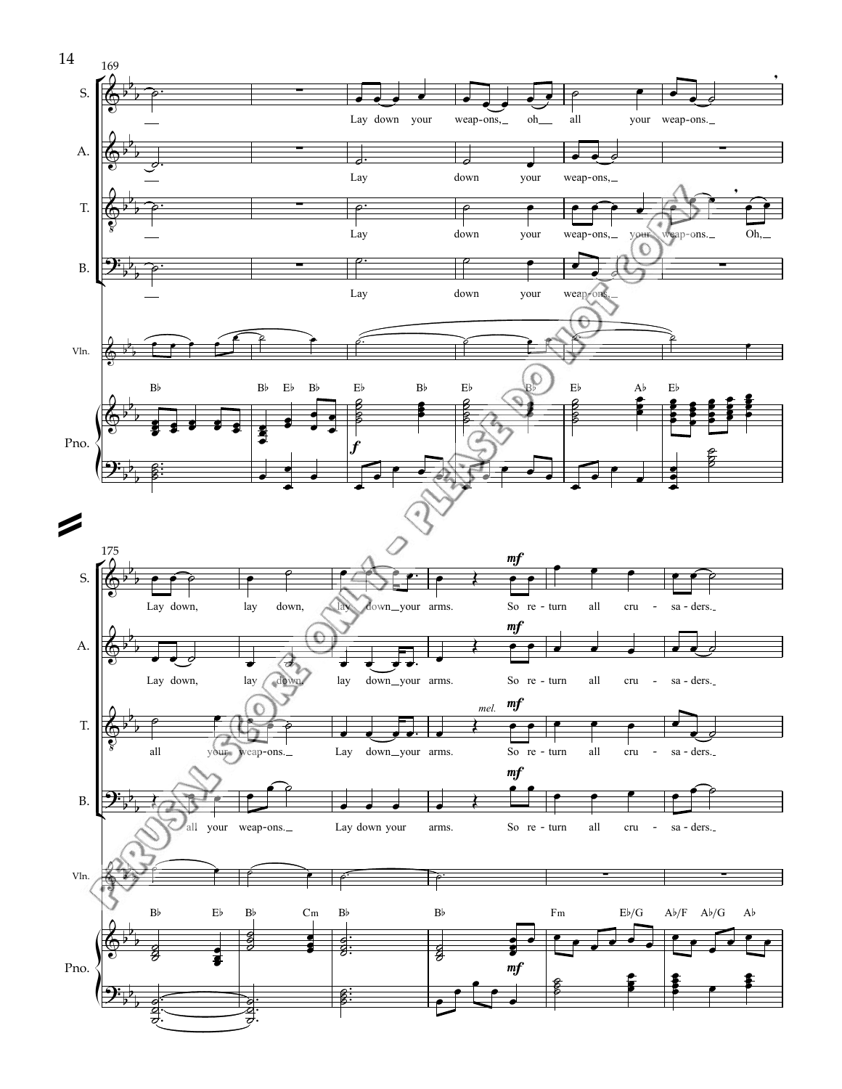